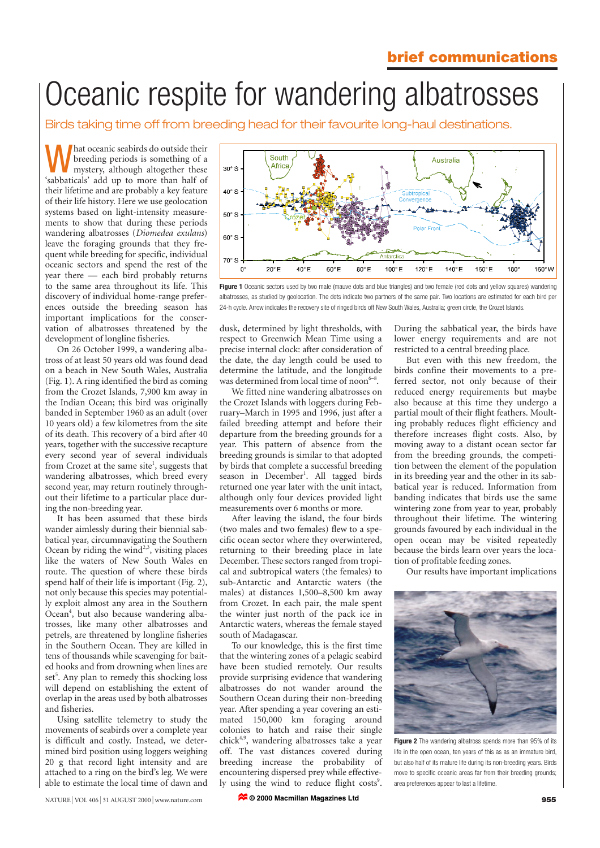# Oceanic respite for wandering albatrosses

Birds taking time off from breeding head for their favourite long-haul destinations.

What oceanic seabirds do outside their<br>the breeding periods is something of a<br>typical metal and the more than helf of breeding periods is something of a mystery, although altogether these 'sabbaticals' add up to more than half of their lifetime and are probably a key feature of their life history. Here we use geolocation systems based on light-intensity measurements to show that during these periods wandering albatrosses (*Diomedea exulans*) leave the foraging grounds that they frequent while breeding for specific, individual oceanic sectors and spend the rest of the year there — each bird probably returns to the same area throughout its life. This discovery of individual home-range preferences outside the breeding season has important implications for the conservation of albatrosses threatened by the development of longline fisheries.

On 26 October 1999, a wandering albatross of at least 50 years old was found dead on a beach in New South Wales, Australia (Fig. 1). A ring identified the bird as coming from the Crozet Islands, 7,900 km away in the Indian Ocean; this bird was originally banded in September 1960 as an adult (over 10 years old) a few kilometres from the site of its death. This recovery of a bird after 40 years, together with the successive recapture every second year of several individuals from Crozet at the same site<sup>1</sup>, suggests that wandering albatrosses, which breed every second year, may return routinely throughout their lifetime to a particular place during the non-breeding year.

It has been assumed that these birds wander aimlessly during their biennial sabbatical year, circumnavigating the Southern Ocean by riding the wind $2<sup>3</sup>$ , visiting places like the waters of New South Wales en route. The question of where these birds spend half of their life is important (Fig. 2), not only because this species may potentially exploit almost any area in the Southern Ocean<sup>4</sup>, but also because wandering albatrosses, like many other albatrosses and petrels, are threatened by longline fisheries in the Southern Ocean. They are killed in tens of thousands while scavenging for baited hooks and from drowning when lines are set<sup>5</sup>. Any plan to remedy this shocking loss will depend on establishing the extent of overlap in the areas used by both albatrosses and fisheries.

Using satellite telemetry to study the movements of seabirds over a complete year is difficult and costly. Instead, we determined bird position using loggers weighing 20 g that record light intensity and are attached to a ring on the bird's leg. We were able to estimate the local time of dawn and



**Figure 1** Oceanic sectors used by two male (mauve dots and blue triangles) and two female (red dots and yellow squares) wandering albatrosses, as studied by geolocation. The dots indicate two partners of the same pair. Two locations are estimated for each bird per 24-h cycle. Arrow indicates the recovery site of ringed birds off New South Wales, Australia; green circle, the Crozet Islands.

dusk, determined by light thresholds, with respect to Greenwich Mean Time using a precise internal clock: after consideration of the date, the day length could be used to determine the latitude, and the longitude was determined from local time of noon<sup>6–8</sup>.

We fitted nine wandering albatrosses on the Crozet Islands with loggers during February–March in 1995 and 1996, just after a failed breeding attempt and before their departure from the breeding grounds for a year. This pattern of absence from the breeding grounds is similar to that adopted by birds that complete a successful breeding season in December<sup>1</sup>. All tagged birds returned one year later with the unit intact, although only four devices provided light measurements over 6 months or more.

After leaving the island, the four birds (two males and two females) flew to a specific ocean sector where they overwintered, returning to their breeding place in late December. These sectors ranged from tropical and subtropical waters (the females) to sub-Antarctic and Antarctic waters (the males) at distances 1,500–8,500 km away from Crozet. In each pair, the male spent the winter just north of the pack ice in Antarctic waters, whereas the female stayed south of Madagascar.

To our knowledge, this is the first time that the wintering zones of a pelagic seabird have been studied remotely. Our results provide surprising evidence that wandering albatrosses do not wander around the Southern Ocean during their non-breeding year. After spending a year covering an estimated 150,000 km foraging around colonies to hatch and raise their single chick4,9, wandering albatrosses take a year off. The vast distances covered during breeding increase the probability of encountering dispersed prey while effectively using the wind to reduce flight costs<sup>9</sup>.

During the sabbatical year, the birds have lower energy requirements and are not restricted to a central breeding place.

But even with this new freedom, the birds confine their movements to a preferred sector, not only because of their reduced energy requirements but maybe also because at this time they undergo a partial moult of their flight feathers. Moulting probably reduces flight efficiency and therefore increases flight costs. Also, by moving away to a distant ocean sector far from the breeding grounds, the competition between the element of the population in its breeding year and the other in its sabbatical year is reduced. Information from banding indicates that birds use the same wintering zone from year to year, probably throughout their lifetime. The wintering grounds favoured by each individual in the open ocean may be visited repeatedly because the birds learn over years the location of profitable feeding zones.

Our results have important implications



**Figure 2** The wandering albatross spends more than 95% of its life in the open ocean, ten years of this as as an immature bird, but also half of its mature life during its non-breeding years. Birds move to specific oceanic areas far from their breeding grounds; area preferences appear to last a lifetime.